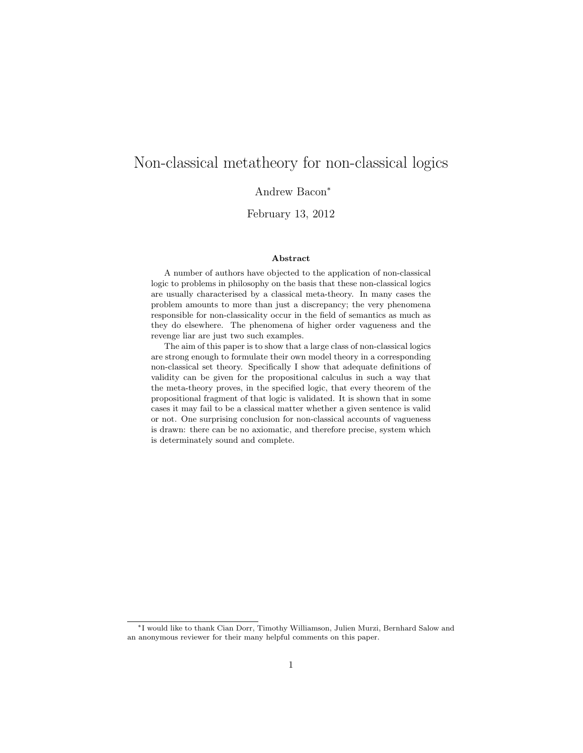# Non-classical metatheory for non-classical logics

Andrew Bacon<sup>∗</sup>

February 13, 2012

#### Abstract

A number of authors have objected to the application of non-classical logic to problems in philosophy on the basis that these non-classical logics are usually characterised by a classical meta-theory. In many cases the problem amounts to more than just a discrepancy; the very phenomena responsible for non-classicality occur in the field of semantics as much as they do elsewhere. The phenomena of higher order vagueness and the revenge liar are just two such examples.

The aim of this paper is to show that a large class of non-classical logics are strong enough to formulate their own model theory in a corresponding non-classical set theory. Specifically I show that adequate definitions of validity can be given for the propositional calculus in such a way that the meta-theory proves, in the specified logic, that every theorem of the propositional fragment of that logic is validated. It is shown that in some cases it may fail to be a classical matter whether a given sentence is valid or not. One surprising conclusion for non-classical accounts of vagueness is drawn: there can be no axiomatic, and therefore precise, system which is determinately sound and complete.

<sup>∗</sup>I would like to thank Cian Dorr, Timothy Williamson, Julien Murzi, Bernhard Salow and an anonymous reviewer for their many helpful comments on this paper.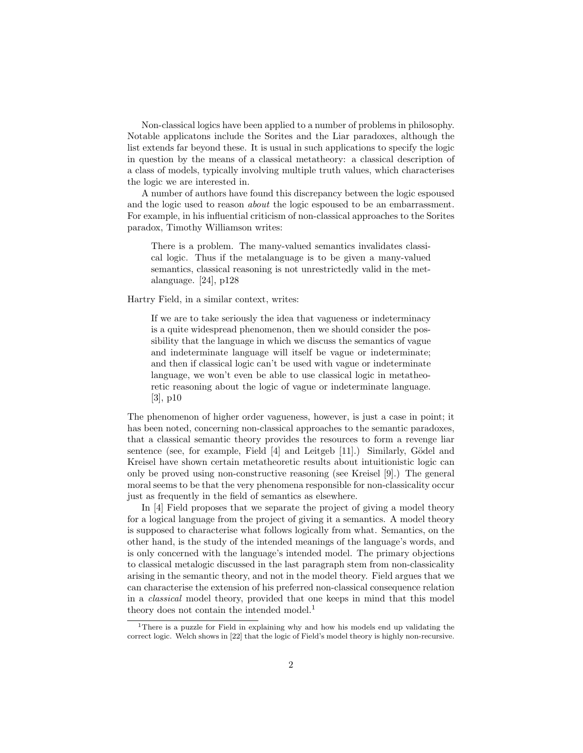Non-classical logics have been applied to a number of problems in philosophy. Notable applicatons include the Sorites and the Liar paradoxes, although the list extends far beyond these. It is usual in such applications to specify the logic in question by the means of a classical metatheory: a classical description of a class of models, typically involving multiple truth values, which characterises the logic we are interested in.

A number of authors have found this discrepancy between the logic espoused and the logic used to reason about the logic espoused to be an embarrassment. For example, in his influential criticism of non-classical approaches to the Sorites paradox, Timothy Williamson writes:

There is a problem. The many-valued semantics invalidates classical logic. Thus if the metalanguage is to be given a many-valued semantics, classical reasoning is not unrestrictedly valid in the metalanguage. [24], p128

Hartry Field, in a similar context, writes:

If we are to take seriously the idea that vagueness or indeterminacy is a quite widespread phenomenon, then we should consider the possibility that the language in which we discuss the semantics of vague and indeterminate language will itself be vague or indeterminate; and then if classical logic can't be used with vague or indeterminate language, we won't even be able to use classical logic in metatheoretic reasoning about the logic of vague or indeterminate language. [3], p10

The phenomenon of higher order vagueness, however, is just a case in point; it has been noted, concerning non-classical approaches to the semantic paradoxes, that a classical semantic theory provides the resources to form a revenge liar sentence (see, for example, Field  $[4]$  and Leitgeb  $[11]$ .) Similarly, Gödel and Kreisel have shown certain metatheoretic results about intuitionistic logic can only be proved using non-constructive reasoning (see Kreisel [9].) The general moral seems to be that the very phenomena responsible for non-classicality occur just as frequently in the field of semantics as elsewhere.

In [4] Field proposes that we separate the project of giving a model theory for a logical language from the project of giving it a semantics. A model theory is supposed to characterise what follows logically from what. Semantics, on the other hand, is the study of the intended meanings of the language's words, and is only concerned with the language's intended model. The primary objections to classical metalogic discussed in the last paragraph stem from non-classicality arising in the semantic theory, and not in the model theory. Field argues that we can characterise the extension of his preferred non-classical consequence relation in a classical model theory, provided that one keeps in mind that this model theory does not contain the intended model.<sup>1</sup>

<sup>&</sup>lt;sup>1</sup>There is a puzzle for Field in explaining why and how his models end up validating the correct logic. Welch shows in [22] that the logic of Field's model theory is highly non-recursive.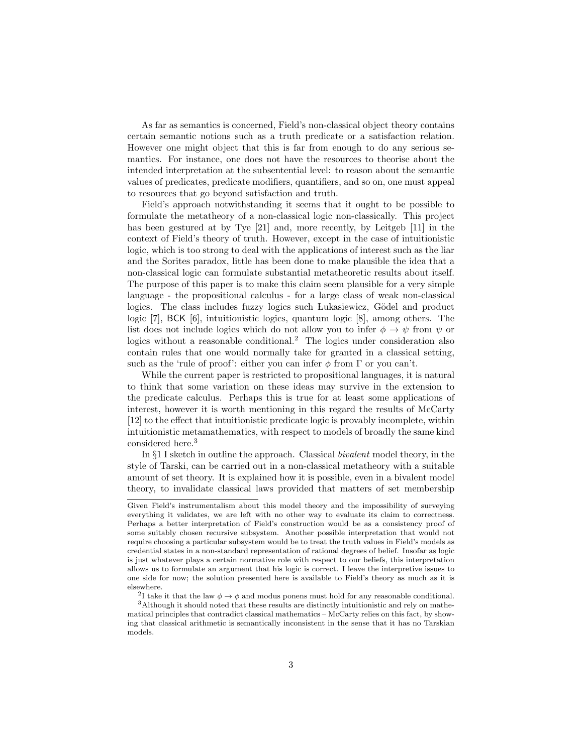As far as semantics is concerned, Field's non-classical object theory contains certain semantic notions such as a truth predicate or a satisfaction relation. However one might object that this is far from enough to do any serious semantics. For instance, one does not have the resources to theorise about the intended interpretation at the subsentential level: to reason about the semantic values of predicates, predicate modifiers, quantifiers, and so on, one must appeal to resources that go beyond satisfaction and truth.

Field's approach notwithstanding it seems that it ought to be possible to formulate the metatheory of a non-classical logic non-classically. This project has been gestured at by Tye [21] and, more recently, by Leitgeb [11] in the context of Field's theory of truth. However, except in the case of intuitionistic logic, which is too strong to deal with the applications of interest such as the liar and the Sorites paradox, little has been done to make plausible the idea that a non-classical logic can formulate substantial metatheoretic results about itself. The purpose of this paper is to make this claim seem plausible for a very simple language - the propositional calculus - for a large class of weak non-classical logics. The class includes fuzzy logics such Lukasiewicz, Gödel and product logic [7], BCK [6], intuitionistic logics, quantum logic [8], among others. The list does not include logics which do not allow you to infer  $\phi \to \psi$  from  $\psi$  or logics without a reasonable conditional.<sup>2</sup> The logics under consideration also contain rules that one would normally take for granted in a classical setting, such as the 'rule of proof': either you can infer  $\phi$  from  $\Gamma$  or you can't.

While the current paper is restricted to propositional languages, it is natural to think that some variation on these ideas may survive in the extension to the predicate calculus. Perhaps this is true for at least some applications of interest, however it is worth mentioning in this regard the results of McCarty [12] to the effect that intuitionistic predicate logic is provably incomplete, within intuitionistic metamathematics, with respect to models of broadly the same kind considered here.<sup>3</sup>

In §1 I sketch in outline the approach. Classical bivalent model theory, in the style of Tarski, can be carried out in a non-classical metatheory with a suitable amount of set theory. It is explained how it is possible, even in a bivalent model theory, to invalidate classical laws provided that matters of set membership

Given Field's instrumentalism about this model theory and the impossibility of surveying everything it validates, we are left with no other way to evaluate its claim to correctness. Perhaps a better interpretation of Field's construction would be as a consistency proof of some suitably chosen recursive subsystem. Another possible interpretation that would not require choosing a particular subsystem would be to treat the truth values in Field's models as credential states in a non-standard representation of rational degrees of belief. Insofar as logic is just whatever plays a certain normative role with respect to our beliefs, this interpretation allows us to formulate an argument that his logic is correct. I leave the interpretive issues to one side for now; the solution presented here is available to Field's theory as much as it is elsewhere.

<sup>&</sup>lt;sup>2</sup>I take it that the law  $\phi \to \phi$  and modus ponens must hold for any reasonable conditional.

<sup>3</sup>Although it should noted that these results are distinctly intuitionistic and rely on mathematical principles that contradict classical mathematics – McCarty relies on this fact, by showing that classical arithmetic is semantically inconsistent in the sense that it has no Tarskian models.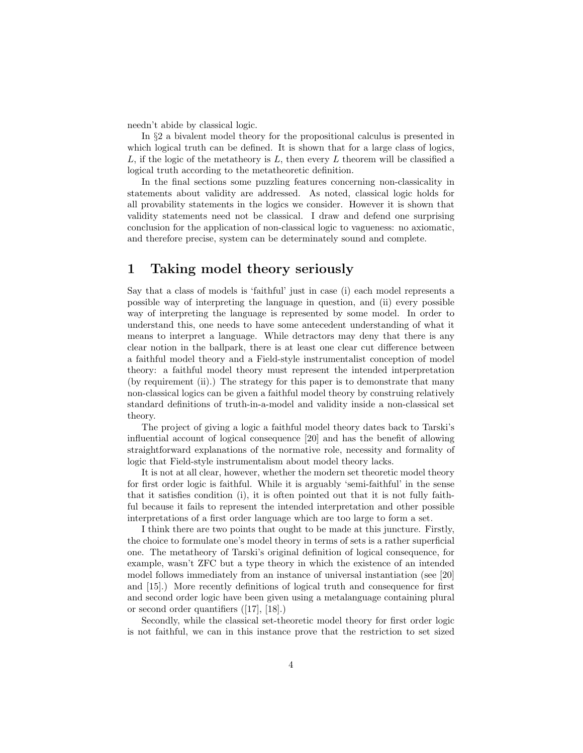needn't abide by classical logic.

In §2 a bivalent model theory for the propositional calculus is presented in which logical truth can be defined. It is shown that for a large class of logics, L, if the logic of the metatheory is L, then every L theorem will be classified a logical truth according to the metatheoretic definition.

In the final sections some puzzling features concerning non-classicality in statements about validity are addressed. As noted, classical logic holds for all provability statements in the logics we consider. However it is shown that validity statements need not be classical. I draw and defend one surprising conclusion for the application of non-classical logic to vagueness: no axiomatic, and therefore precise, system can be determinately sound and complete.

# 1 Taking model theory seriously

Say that a class of models is 'faithful' just in case (i) each model represents a possible way of interpreting the language in question, and (ii) every possible way of interpreting the language is represented by some model. In order to understand this, one needs to have some antecedent understanding of what it means to interpret a language. While detractors may deny that there is any clear notion in the ballpark, there is at least one clear cut difference between a faithful model theory and a Field-style instrumentalist conception of model theory: a faithful model theory must represent the intended intperpretation (by requirement (ii).) The strategy for this paper is to demonstrate that many non-classical logics can be given a faithful model theory by construing relatively standard definitions of truth-in-a-model and validity inside a non-classical set theory.

The project of giving a logic a faithful model theory dates back to Tarski's influential account of logical consequence [20] and has the benefit of allowing straightforward explanations of the normative role, necessity and formality of logic that Field-style instrumentalism about model theory lacks.

It is not at all clear, however, whether the modern set theoretic model theory for first order logic is faithful. While it is arguably 'semi-faithful' in the sense that it satisfies condition (i), it is often pointed out that it is not fully faithful because it fails to represent the intended interpretation and other possible interpretations of a first order language which are too large to form a set.

I think there are two points that ought to be made at this juncture. Firstly, the choice to formulate one's model theory in terms of sets is a rather superficial one. The metatheory of Tarski's original definition of logical consequence, for example, wasn't ZFC but a type theory in which the existence of an intended model follows immediately from an instance of universal instantiation (see [20] and [15].) More recently definitions of logical truth and consequence for first and second order logic have been given using a metalanguage containing plural or second order quantifiers ([17], [18].)

Secondly, while the classical set-theoretic model theory for first order logic is not faithful, we can in this instance prove that the restriction to set sized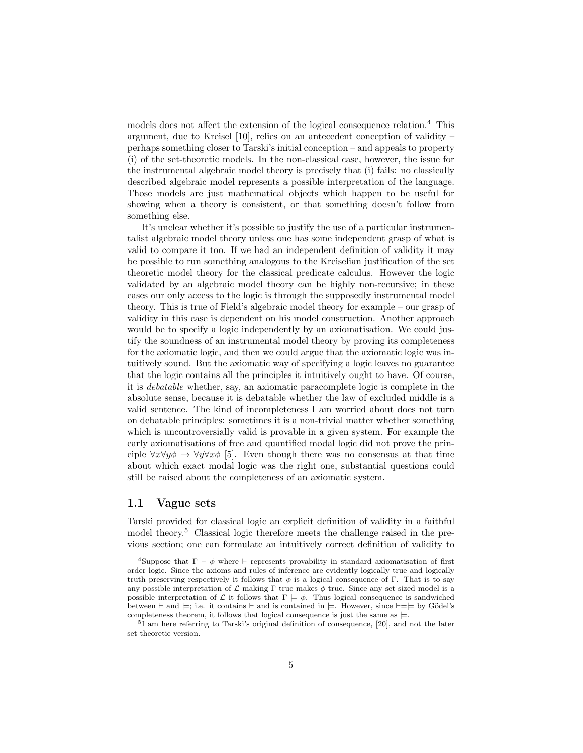models does not affect the extension of the logical consequence relation.<sup>4</sup> This argument, due to Kreisel [10], relies on an antecedent conception of validity – perhaps something closer to Tarski's initial conception – and appeals to property (i) of the set-theoretic models. In the non-classical case, however, the issue for the instrumental algebraic model theory is precisely that (i) fails: no classically described algebraic model represents a possible interpretation of the language. Those models are just mathematical objects which happen to be useful for showing when a theory is consistent, or that something doesn't follow from something else.

It's unclear whether it's possible to justify the use of a particular instrumentalist algebraic model theory unless one has some independent grasp of what is valid to compare it too. If we had an independent definition of validity it may be possible to run something analogous to the Kreiselian justification of the set theoretic model theory for the classical predicate calculus. However the logic validated by an algebraic model theory can be highly non-recursive; in these cases our only access to the logic is through the supposedly instrumental model theory. This is true of Field's algebraic model theory for example – our grasp of validity in this case is dependent on his model construction. Another approach would be to specify a logic independently by an axiomatisation. We could justify the soundness of an instrumental model theory by proving its completeness for the axiomatic logic, and then we could argue that the axiomatic logic was intuitively sound. But the axiomatic way of specifying a logic leaves no guarantee that the logic contains all the principles it intuitively ought to have. Of course, it is debatable whether, say, an axiomatic paracomplete logic is complete in the absolute sense, because it is debatable whether the law of excluded middle is a valid sentence. The kind of incompleteness I am worried about does not turn on debatable principles: sometimes it is a non-trivial matter whether something which is uncontroversially valid is provable in a given system. For example the early axiomatisations of free and quantified modal logic did not prove the principle  $\forall x \forall y \phi \rightarrow \forall y \forall x \phi$  [5]. Even though there was no consensus at that time about which exact modal logic was the right one, substantial questions could still be raised about the completeness of an axiomatic system.

#### 1.1 Vague sets

Tarski provided for classical logic an explicit definition of validity in a faithful model theory.<sup>5</sup> Classical logic therefore meets the challenge raised in the previous section; one can formulate an intuitively correct definition of validity to

<sup>&</sup>lt;sup>4</sup>Suppose that  $\Gamma \vdash \phi$  where  $\vdash$  represents provability in standard axiomatisation of first order logic. Since the axioms and rules of inference are evidently logically true and logically truth preserving respectively it follows that  $\phi$  is a logical consequence of Γ. That is to say any possible interpretation of  $\mathcal L$  making  $\Gamma$  true makes  $\phi$  true. Since any set sized model is a possible interpretation of L it follows that  $\Gamma \models \phi$ . Thus logical consequence is sandwiched between  $\vdash$  and  $\models$ ; i.e. it contains  $\vdash$  and is contained in  $\models$ . However, since  $\vdash = \models$  by Gödel's completeness theorem, it follows that logical consequence is just the same as  $\models$ .

<sup>5</sup> I am here referring to Tarski's original definition of consequence, [20], and not the later set theoretic version.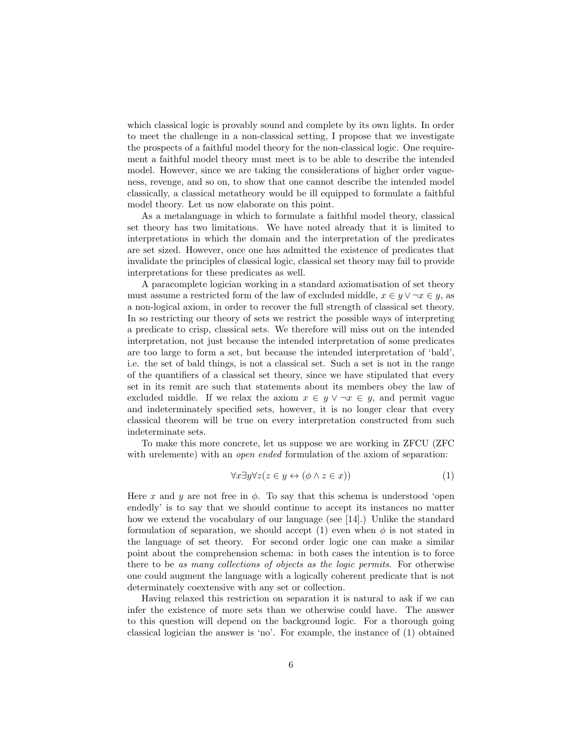which classical logic is provably sound and complete by its own lights. In order to meet the challenge in a non-classical setting, I propose that we investigate the prospects of a faithful model theory for the non-classical logic. One requirement a faithful model theory must meet is to be able to describe the intended model. However, since we are taking the considerations of higher order vagueness, revenge, and so on, to show that one cannot describe the intended model classically, a classical metatheory would be ill equipped to formulate a faithful model theory. Let us now elaborate on this point.

As a metalanguage in which to formulate a faithful model theory, classical set theory has two limitations. We have noted already that it is limited to interpretations in which the domain and the interpretation of the predicates are set sized. However, once one has admitted the existence of predicates that invalidate the principles of classical logic, classical set theory may fail to provide interpretations for these predicates as well.

A paracomplete logician working in a standard axiomatisation of set theory must assume a restricted form of the law of excluded middle,  $x \in y \vee \neg x \in y$ , as a non-logical axiom, in order to recover the full strength of classical set theory. In so restricting our theory of sets we restrict the possible ways of interpreting a predicate to crisp, classical sets. We therefore will miss out on the intended interpretation, not just because the intended interpretation of some predicates are too large to form a set, but because the intended interpretation of 'bald', i.e. the set of bald things, is not a classical set. Such a set is not in the range of the quantifiers of a classical set theory, since we have stipulated that every set in its remit are such that statements about its members obey the law of excluded middle. If we relax the axiom  $x \in y \lor \neg x \in y$ , and permit vague and indeterminately specified sets, however, it is no longer clear that every classical theorem will be true on every interpretation constructed from such indeterminate sets.

To make this more concrete, let us suppose we are working in ZFCU (ZFC with urelemente) with an *open ended* formulation of the axiom of separation:

$$
\forall x \exists y \forall z (z \in y \leftrightarrow (\phi \land z \in x)) \tag{1}
$$

Here x and y are not free in  $\phi$ . To say that this schema is understood 'open endedly' is to say that we should continue to accept its instances no matter how we extend the vocabulary of our language (see [14].) Unlike the standard formulation of separation, we should accept (1) even when  $\phi$  is not stated in the language of set theory. For second order logic one can make a similar point about the comprehension schema: in both cases the intention is to force there to be as many collections of objects as the logic permits. For otherwise one could augment the language with a logically coherent predicate that is not determinately coextensive with any set or collection.

Having relaxed this restriction on separation it is natural to ask if we can infer the existence of more sets than we otherwise could have. The answer to this question will depend on the background logic. For a thorough going classical logician the answer is 'no'. For example, the instance of (1) obtained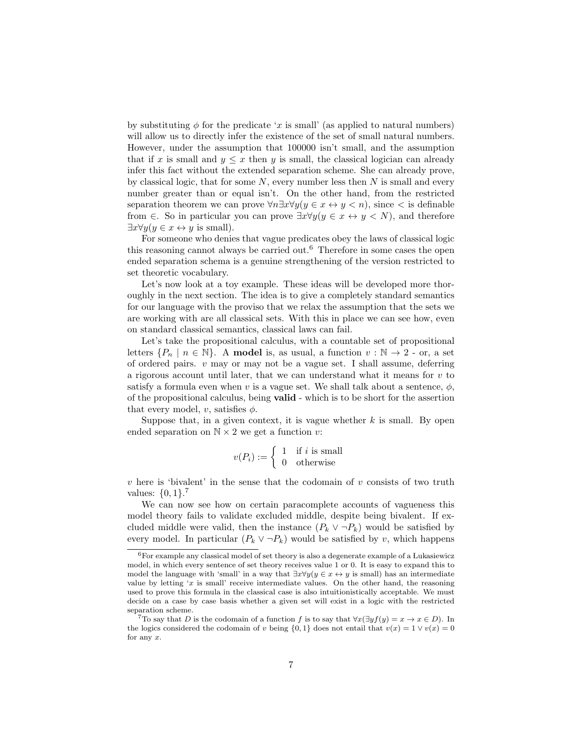by substituting  $\phi$  for the predicate 'x is small' (as applied to natural numbers) will allow us to directly infer the existence of the set of small natural numbers. However, under the assumption that 100000 isn't small, and the assumption that if x is small and  $y \leq x$  then y is small, the classical logician can already infer this fact without the extended separation scheme. She can already prove, by classical logic, that for some  $N$ , every number less then  $N$  is small and every number greater than or equal isn't. On the other hand, from the restricted separation theorem we can prove  $\forall n \exists x \forall y (y \in x \leftrightarrow y \leq n)$ , since  $\lt$  is definable from  $\in$ . So in particular you can prove  $\exists x \forall y (y \in x \leftrightarrow y \in N)$ , and therefore  $\exists x \forall y (y \in x \leftrightarrow y \text{ is small}).$ 

For someone who denies that vague predicates obey the laws of classical logic this reasoning cannot always be carried out.<sup>6</sup> Therefore in some cases the open ended separation schema is a genuine strengthening of the version restricted to set theoretic vocabulary.

Let's now look at a toy example. These ideas will be developed more thoroughly in the next section. The idea is to give a completely standard semantics for our language with the proviso that we relax the assumption that the sets we are working with are all classical sets. With this in place we can see how, even on standard classical semantics, classical laws can fail.

Let's take the propositional calculus, with a countable set of propositional letters  $\{P_n \mid n \in \mathbb{N}\}\$ . A model is, as usual, a function  $v : \mathbb{N} \to 2$  - or, a set of ordered pairs.  $v$  may or may not be a vague set. I shall assume, deferring a rigorous account until later, that we can understand what it means for  $v$  to satisfy a formula even when v is a vague set. We shall talk about a sentence,  $\phi$ , of the propositional calculus, being valid - which is to be short for the assertion that every model, v, satisfies  $\phi$ .

Suppose that, in a given context, it is vague whether  $k$  is small. By open ended separation on  $N \times 2$  we get a function v:

$$
v(P_i) := \begin{cases} 1 & \text{if } i \text{ is small} \\ 0 & \text{otherwise} \end{cases}
$$

 $v$  here is 'bivalent' in the sense that the codomain of  $v$  consists of two truth values:  $\{0, 1\}$ .<sup>7</sup>

We can now see how on certain paracomplete accounts of vagueness this model theory fails to validate excluded middle, despite being bivalent. If excluded middle were valid, then the instance  $(P_k \vee \neg P_k)$  would be satisfied by every model. In particular  $(P_k \vee \neg P_k)$  would be satisfied by v, which happens

 $6$  For example any classical model of set theory is also a degenerate example of a Lukasiewicz model, in which every sentence of set theory receives value 1 or 0. It is easy to expand this to model the language with 'small' in a way that  $\exists x \forall y (y \in x \leftrightarrow y$  is small) has an intermediate value by letting 'x is small' receive intermediate values. On the other hand, the reasoning used to prove this formula in the classical case is also intuitionistically acceptable. We must decide on a case by case basis whether a given set will exist in a logic with the restricted separation scheme.

<sup>&</sup>lt;sup>7</sup>To say that D is the codomain of a function f is to say that  $\forall x(\exists y f(y) = x \rightarrow x \in D)$ . In the logics considered the codomain of v being  $\{0,1\}$  does not entail that  $v(x) = 1 \vee v(x) = 0$ for any  $x$ .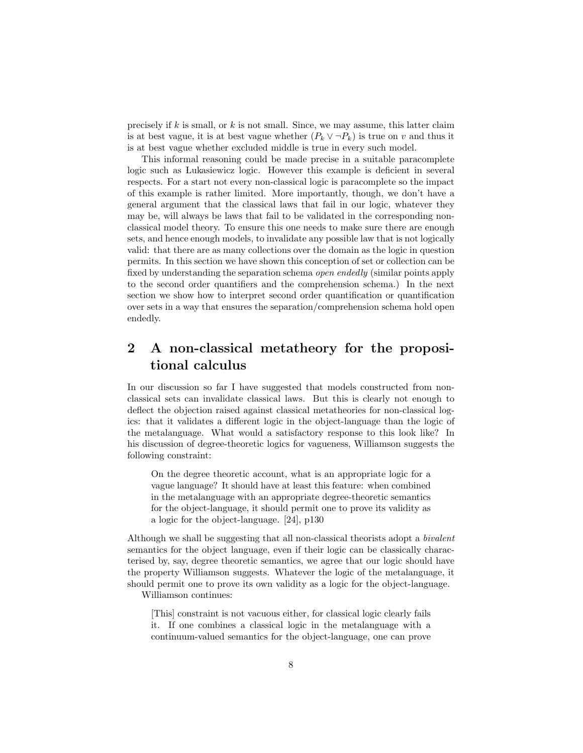precisely if  $k$  is small, or  $k$  is not small. Since, we may assume, this latter claim is at best vague, it is at best vague whether  $(P_k \vee \neg P_k)$  is true on v and thus it is at best vague whether excluded middle is true in every such model.

This informal reasoning could be made precise in a suitable paracomplete logic such as Lukasiewicz logic. However this example is deficient in several respects. For a start not every non-classical logic is paracomplete so the impact of this example is rather limited. More importantly, though, we don't have a general argument that the classical laws that fail in our logic, whatever they may be, will always be laws that fail to be validated in the corresponding nonclassical model theory. To ensure this one needs to make sure there are enough sets, and hence enough models, to invalidate any possible law that is not logically valid: that there are as many collections over the domain as the logic in question permits. In this section we have shown this conception of set or collection can be fixed by understanding the separation schema open endedly (similar points apply to the second order quantifiers and the comprehension schema.) In the next section we show how to interpret second order quantification or quantification over sets in a way that ensures the separation/comprehension schema hold open endedly.

# 2 A non-classical metatheory for the propositional calculus

In our discussion so far I have suggested that models constructed from nonclassical sets can invalidate classical laws. But this is clearly not enough to deflect the objection raised against classical metatheories for non-classical logics: that it validates a different logic in the object-language than the logic of the metalanguage. What would a satisfactory response to this look like? In his discussion of degree-theoretic logics for vagueness, Williamson suggests the following constraint:

On the degree theoretic account, what is an appropriate logic for a vague language? It should have at least this feature: when combined in the metalanguage with an appropriate degree-theoretic semantics for the object-language, it should permit one to prove its validity as a logic for the object-language. [24], p130

Although we shall be suggesting that all non-classical theorists adopt a bivalent semantics for the object language, even if their logic can be classically characterised by, say, degree theoretic semantics, we agree that our logic should have the property Williamson suggests. Whatever the logic of the metalanguage, it should permit one to prove its own validity as a logic for the object-language.

Williamson continues:

[This] constraint is not vacuous either, for classical logic clearly fails it. If one combines a classical logic in the metalanguage with a continuum-valued semantics for the object-language, one can prove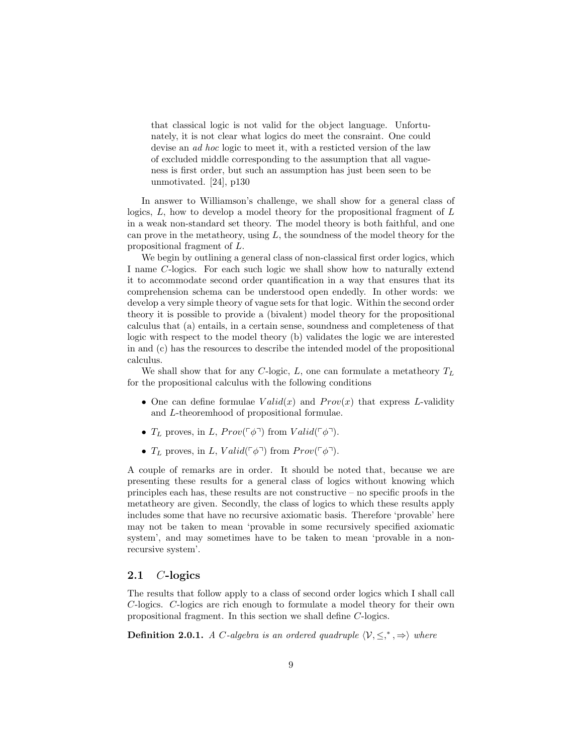that classical logic is not valid for the object language. Unfortunately, it is not clear what logics do meet the consraint. One could devise an *ad hoc* logic to meet it, with a resticted version of the law of excluded middle corresponding to the assumption that all vagueness is first order, but such an assumption has just been seen to be unmotivated. [24], p130

In answer to Williamson's challenge, we shall show for a general class of logics,  $L$ , how to develop a model theory for the propositional fragment of  $L$ in a weak non-standard set theory. The model theory is both faithful, and one can prove in the metatheory, using  $L$ , the soundness of the model theory for the propositional fragment of L.

We begin by outlining a general class of non-classical first order logics, which I name C-logics. For each such logic we shall show how to naturally extend it to accommodate second order quantification in a way that ensures that its comprehension schema can be understood open endedly. In other words: we develop a very simple theory of vague sets for that logic. Within the second order theory it is possible to provide a (bivalent) model theory for the propositional calculus that (a) entails, in a certain sense, soundness and completeness of that logic with respect to the model theory (b) validates the logic we are interested in and (c) has the resources to describe the intended model of the propositional calculus.

We shall show that for any C-logic, L, one can formulate a metatheory  $T_L$ for the propositional calculus with the following conditions

- One can define formulae  $Valid(x)$  and  $Prov(x)$  that express L-validity and L-theoremhood of propositional formulae.
- $T_L$  proves, in L,  $Prov(\ulcorner \phi \urcorner)$  from  $Valid(\ulcorner \phi \urcorner)$ .
- $T_L$  proves, in L,  $Valid(\ulcorner \phi \urcorner)$  from  $Prov(\ulcorner \phi \urcorner)$ .

A couple of remarks are in order. It should be noted that, because we are presenting these results for a general class of logics without knowing which principles each has, these results are not constructive – no specific proofs in the metatheory are given. Secondly, the class of logics to which these results apply includes some that have no recursive axiomatic basis. Therefore 'provable' here may not be taken to mean 'provable in some recursively specified axiomatic system', and may sometimes have to be taken to mean 'provable in a nonrecursive system'.

### 2.1 C-logics

The results that follow apply to a class of second order logics which I shall call C-logics. C-logics are rich enough to formulate a model theory for their own propositional fragment. In this section we shall define C-logics.

**Definition 2.0.1.** A C-algebra is an ordered quadruple  $\langle V, \leq,^*, \Rightarrow \rangle$  where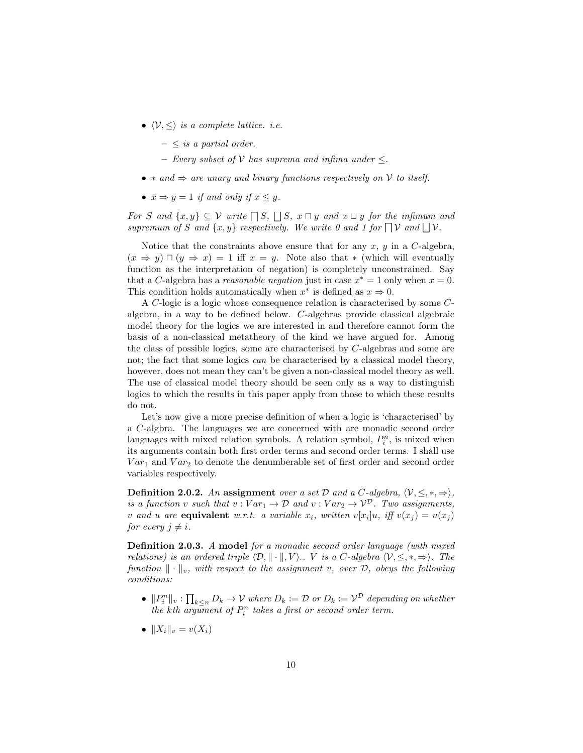- $\langle V, \leq \rangle$  is a complete lattice. i.e.
	- $\leq$  *is a partial order.*
	- Every subset of V has suprema and infima under  $\leq$ .
- $*$  and  $\Rightarrow$  are unary and binary functions respectively on V to itself.
- $x \Rightarrow y = 1$  if and only if  $x \leq y$ .

For S and  $\{x, y\} \subseteq V$  write  $\Box S$ ,  $\Box S$ ,  $x \Box y$  and  $x \Box y$  for the infimum and supremum of S and  $\{x, y\}$  respectively. We write 0 and 1 for  $\bigcap \mathcal{V}$  and  $\bigsqcup \mathcal{V}$ .

Notice that the constraints above ensure that for any  $x, y$  in a C-algebra,  $(x \Rightarrow y) \sqcap (y \Rightarrow x) = 1$  iff  $x = y$ . Note also that \* (which will eventually function as the interpretation of negation) is completely unconstrained. Say that a C-algebra has a reasonable negation just in case  $x^* = 1$  only when  $x = 0$ . This condition holds automatically when  $x^*$  is defined as  $x \to 0$ .

A C-logic is a logic whose consequence relation is characterised by some Calgebra, in a way to be defined below. C-algebras provide classical algebraic model theory for the logics we are interested in and therefore cannot form the basis of a non-classical metatheory of the kind we have argued for. Among the class of possible logics, some are characterised by C-algebras and some are not; the fact that some logics can be characterised by a classical model theory, however, does not mean they can't be given a non-classical model theory as well. The use of classical model theory should be seen only as a way to distinguish logics to which the results in this paper apply from those to which these results do not.

Let's now give a more precise definition of when a logic is 'characterised' by a C-algbra. The languages we are concerned with are monadic second order languages with mixed relation symbols. A relation symbol,  $P_i^n$ , is mixed when its arguments contain both first order terms and second order terms. I shall use  $Var_1$  and  $Var_2$  to denote the denumberable set of first order and second order variables respectively.

**Definition 2.0.2.** An assignment over a set D and a C-algebra,  $\langle V, \leq, *, \Rightarrow \rangle$ , is a function v such that  $v : Var_1 \to \mathcal{D}$  and  $v : Var_2 \to \mathcal{V}^{\mathcal{D}}$ . Two assignments, v and u are **equivalent** w.r.t. a variable  $x_i$ , written  $v[x_i]u$ , iff  $v(x_j) = u(x_j)$ for every  $i \neq i$ .

Definition 2.0.3. A model for a monadic second order language (with mixed relations) is an ordered triple  $\langle \mathcal{D}, \|\cdot\|, V \rangle$ . V is a C-algebra  $\langle \mathcal{V}, \leq, *, \Rightarrow \rangle$ . The function  $\|\cdot\|_v$ , with respect to the assignment v, over D, obeys the following conditions:

- $||P_i^n||_v : \prod_{k \leq n} D_k \to V$  where  $D_k := \mathcal{D}$  or  $D_k := \mathcal{V}^{\mathcal{D}}$  depending on whether the kth argument of  $P_i^n$  takes a first or second order term.
- $||X_i||_v = v(X_i)$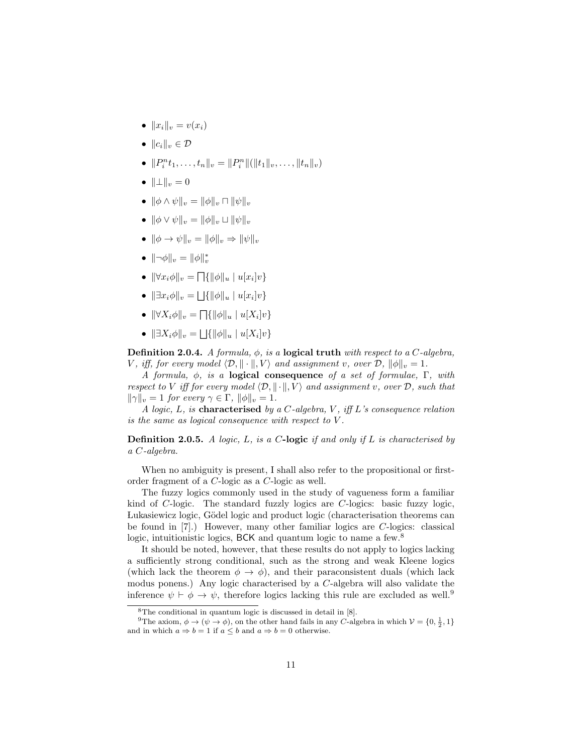- $||x_i||_v = v(x_i)$
- $||c_i||_v \in \mathcal{D}$
- $||P_i^n t_1, \ldots, t_n||_v = ||P_i^n||(||t_1||_v, \ldots, ||t_n||_v)$
- $\|\perp\|_v = 0$
- $\|\phi \wedge \psi\|_{v} = \|\phi\|_{v} \sqcap \|\psi\|_{v}$
- $\|\phi \vee \psi\|_{v} = \|\phi\|_{v} \sqcup \|\psi\|_{v}$
- $\|\phi \rightarrow \psi\|_{v} = \|\phi\|_{v} \Rightarrow \|\psi\|_{v}$
- $\|\neg\phi\|_v = \|\phi\|_v^*$
- $\|\forall x_i \phi\|_v = \prod\{\|\phi\|_u \mid u[x_i]v\}$
- $\|\exists x_i \phi\|_v = \bigsqcup \{\|\phi\|_u \mid u[x_i]v\}$
- $\|\forall X_i \phi\|_v = \prod\{\|\phi\|_u \mid u[X_i]v\}$
- $\|\exists X_i \phi\|_v = \bigsqcup \{\|\phi\|_u \mid u[X_i]v\}$

**Definition 2.0.4.** A formula,  $\phi$ , is a **logical truth** with respect to a C-algebra, V, iff, for every model  $\langle \mathcal{D}, \|\cdot\|, V \rangle$  and assignment v, over  $\mathcal{D}, \|\phi\|_{v} = 1$ .

A formula,  $\phi$ , is a **logical consequence** of a set of formulae, Γ, with respect to V iff for every model  $\langle \mathcal{D}, \|\cdot\|, V \rangle$  and assignment v, over  $\mathcal{D}$ , such that  $\|\gamma\|_v = 1$  for every  $\gamma \in \Gamma$ ,  $\|\phi\|_v = 1$ .

A logic,  $L$ , is characterised by a  $C$ -algebra,  $V$ , iff  $L$ 's consequence relation is the same as logical consequence with respect to V .

**Definition 2.0.5.** A logic,  $L$ , is a C-logic if and only if  $L$  is characterised by a C-algebra.

When no ambiguity is present, I shall also refer to the propositional or firstorder fragment of a C-logic as a C-logic as well.

The fuzzy logics commonly used in the study of vagueness form a familiar kind of C-logic. The standard fuzzly logics are C-logics: basic fuzzy logic, Lukasiewicz logic, Gödel logic and product logic (characterisation theorems can be found in [7].) However, many other familiar logics are C-logics: classical logic, intuitionistic logics, BCK and quantum logic to name a few.<sup>8</sup>

It should be noted, however, that these results do not apply to logics lacking a sufficiently strong conditional, such as the strong and weak Kleene logics (which lack the theorem  $\phi \to \phi$ ), and their paraconsistent duals (which lack modus ponens.) Any logic characterised by a C-algebra will also validate the inference  $\psi \vdash \phi \rightarrow \psi$ , therefore logics lacking this rule are excluded as well.<sup>9</sup>

<sup>8</sup>The conditional in quantum logic is discussed in detail in [8].

<sup>&</sup>lt;sup>9</sup>The axiom,  $\phi \to (\psi \to \phi)$ , on the other hand fails in any *C*-algebra in which  $\mathcal{V} = \{0, \frac{1}{2}, 1\}$ and in which  $a \Rightarrow b = 1$  if  $a \leq b$  and  $a \Rightarrow b = 0$  otherwise.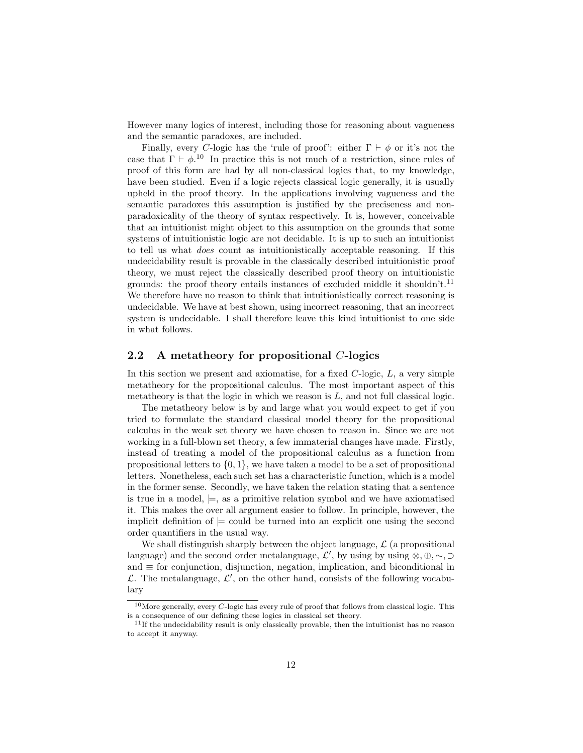However many logics of interest, including those for reasoning about vagueness and the semantic paradoxes, are included.

Finally, every C-logic has the 'rule of proof': either  $\Gamma \vdash \phi$  or it's not the case that  $\Gamma \vdash \phi$ <sup>10</sup>. In practice this is not much of a restriction, since rules of proof of this form are had by all non-classical logics that, to my knowledge, have been studied. Even if a logic rejects classical logic generally, it is usually upheld in the proof theory. In the applications involving vagueness and the semantic paradoxes this assumption is justified by the preciseness and nonparadoxicality of the theory of syntax respectively. It is, however, conceivable that an intuitionist might object to this assumption on the grounds that some systems of intuitionistic logic are not decidable. It is up to such an intuitionist to tell us what does count as intuitionistically acceptable reasoning. If this undecidability result is provable in the classically described intuitionistic proof theory, we must reject the classically described proof theory on intuitionistic grounds: the proof theory entails instances of excluded middle it shouldn't.<sup>11</sup> We therefore have no reason to think that intuitionistically correct reasoning is undecidable. We have at best shown, using incorrect reasoning, that an incorrect system is undecidable. I shall therefore leave this kind intuitionist to one side in what follows.

## 2.2 A metatheory for propositional C-logics

In this section we present and axiomatise, for a fixed  $C$ -logic,  $L$ , a very simple metatheory for the propositional calculus. The most important aspect of this metatheory is that the logic in which we reason is  $L$ , and not full classical logic.

The metatheory below is by and large what you would expect to get if you tried to formulate the standard classical model theory for the propositional calculus in the weak set theory we have chosen to reason in. Since we are not working in a full-blown set theory, a few immaterial changes have made. Firstly, instead of treating a model of the propositional calculus as a function from propositional letters to  $\{0, 1\}$ , we have taken a model to be a set of propositional letters. Nonetheless, each such set has a characteristic function, which is a model in the former sense. Secondly, we have taken the relation stating that a sentence is true in a model,  $\models$ , as a primitive relation symbol and we have axiomatised it. This makes the over all argument easier to follow. In principle, however, the implicit definition of  $\models$  could be turned into an explicit one using the second order quantifiers in the usual way.

We shall distinguish sharply between the object language,  $\mathcal{L}$  (a propositional language) and the second order metalanguage,  $\mathcal{L}'$ , by using by using ⊗, ⊕,  $\sim$ , ⊃ and  $\equiv$  for conjunction, disjunction, negation, implication, and biconditional in  $\mathcal{L}$ . The metalanguage,  $\mathcal{L}'$ , on the other hand, consists of the following vocabulary

 $10$ More generally, every  $C$ -logic has every rule of proof that follows from classical logic. This is a consequence of our defining these logics in classical set theory.

 $11$ If the undecidability result is only classically provable, then the intuitionist has no reason to accept it anyway.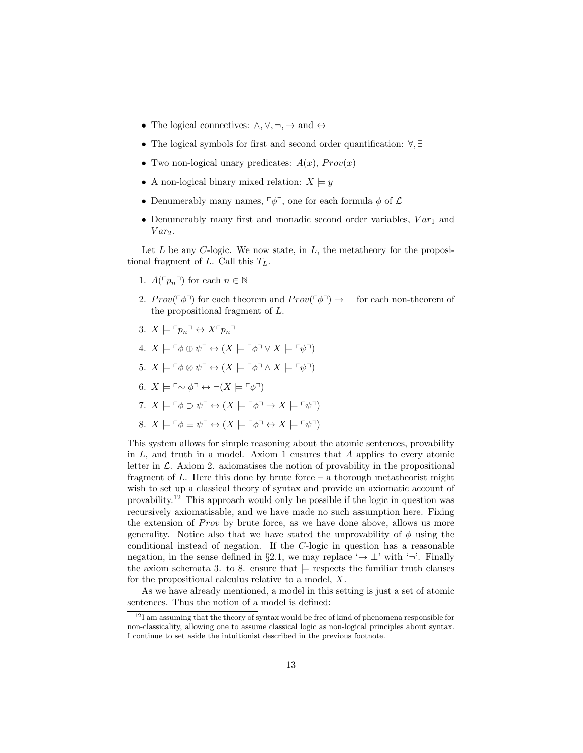- The logical connectives:  $\land, \lor, \neg, \rightarrow$  and  $\leftrightarrow$
- The logical symbols for first and second order quantification: ∀, ∃
- Two non-logical unary predicates:  $A(x)$ ,  $Prov(x)$
- A non-logical binary mixed relation:  $X \models y$
- Denumerably many names,  $\lceil \phi \rceil$ , one for each formula  $\phi$  of  $\mathcal L$
- Denumerably many first and monadic second order variables,  $Var_1$  and  $Var_2$ .

Let  $L$  be any  $C$ -logic. We now state, in  $L$ , the metatheory for the propositional fragment of  $L$ . Call this  $T_L$ .

- 1.  $A(\lceil p_n \rceil)$  for each  $n \in \mathbb{N}$
- 2.  $Prov(\ulcorner\phi\urcorner)$  for each theorem and  $Prov(\ulcorner\phi\urcorner) \rightarrow \bot$  for each non-theorem of the propositional fragment of L.
- 3.  $X \models \ulcorner p_n \urcorner \leftrightarrow X \ulcorner p_n \urcorner$
- 4.  $X \models \ulcorner \phi \oplus \psi \urcorner \leftrightarrow (X \models \ulcorner \phi \urcorner \vee X \models \ulcorner \psi \urcorner)$
- 5.  $X \models \ulcorner \phi \otimes \psi \urcorner \leftrightarrow (X \models \ulcorner \phi \urcorner \wedge X \models \ulcorner \psi \urcorner)$
- 6.  $X \models \ulcorner \sim \phi \urcorner \leftrightarrow \neg (X \models \ulcorner \phi \urcorner)$
- 7.  $X \models \ulcorner \phi \supset \psi \urcorner \leftrightarrow (X \models \ulcorner \phi \urcorner \rightarrow X \models \ulcorner \psi \urcorner)$
- 8.  $X \models \ulcorner \phi \equiv \psi \urcorner \leftrightarrow (X \models \ulcorner \phi \urcorner \leftrightarrow X \models \ulcorner \psi \urcorner)$

This system allows for simple reasoning about the atomic sentences, provability in  $L$ , and truth in a model. Axiom 1 ensures that  $A$  applies to every atomic letter in  $\mathcal{L}$ . Axiom 2. axiomatises the notion of provability in the propositional fragment of L. Here this done by brute force – a thorough metatheorist might wish to set up a classical theory of syntax and provide an axiomatic account of provability.<sup>12</sup> This approach would only be possible if the logic in question was recursively axiomatisable, and we have made no such assumption here. Fixing the extension of  $Prov$  by brute force, as we have done above, allows us more generality. Notice also that we have stated the unprovability of  $\phi$  using the conditional instead of negation. If the C-logic in question has a reasonable negation, in the sense defined in §2.1, we may replace ' $\rightarrow \perp$ ' with '¬'. Finally the axiom schemata 3. to 8. ensure that  $\models$  respects the familiar truth clauses for the propositional calculus relative to a model, X.

As we have already mentioned, a model in this setting is just a set of atomic sentences. Thus the notion of a model is defined:

 $121$  am assuming that the theory of syntax would be free of kind of phenomena responsible for non-classicality, allowing one to assume classical logic as non-logical principles about syntax. I continue to set aside the intuitionist described in the previous footnote.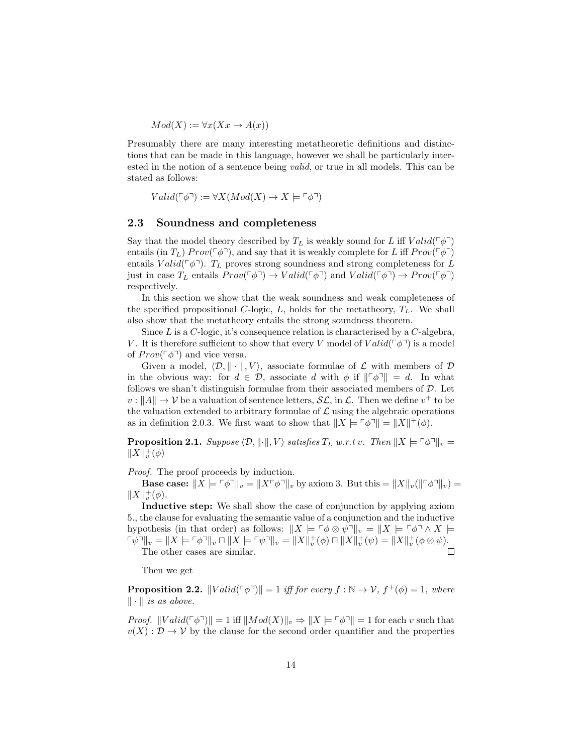$Mod(X) := \forall x (Xx \rightarrow A(x))$ 

Presumably there are many interesting metatheoretic definitions and distinctions that can be made in this language, however we shall be particularly interested in the notion of a sentence being valid, or true in all models. This can be stated as follows:

 $Valid(\ulcorner\phi\urcorner) := \forall X (Mod(X) \rightarrow X \models \ulcorner\phi\urcorner)$ 

#### 2.3 Soundness and completeness

Say that the model theory described by  $T_L$  is weakly sound for L iff  $Valid(\ulcorner \phi \urcorner)$ entails (in  $T_L$ )  $Prov(\lceil \phi \rceil)$ , and say that it is weakly complete for L iff  $Prov(\lceil \phi \rceil)$ entails  $Valid(\ulcorner \phi \urcorner)$ .  $T_L$  proves strong soundness and strong completeness for L just in case  $T_L$  entails  $Prov(\ulcorner \phi \urcorner) \rightarrow Valid(\ulcorner \phi \urcorner)$  and  $Valid(\ulcorner \phi \urcorner) \rightarrow Prov(\ulcorner \phi \urcorner)$ respectively.

In this section we show that the weak soundness and weak completeness of the specified propositional C-logic, L, holds for the metatheory,  $T_L$ . We shall also show that the metatheory entails the strong soundness theorem.

Since L is a C-logic, it's consequence relation is characterised by a C-algebra, V. It is therefore sufficient to show that every V model of  $Valid(\ulcorner\phi\urcorner)$  is a model of  $Prov(\ulcorner \phi \urcorner)$  and vice versa.

Given a model,  $\langle \mathcal{D}, \| \cdot \|, V \rangle$ , associate formulae of  $\mathcal L$  with members of  $\mathcal D$ in the obvious way: for  $d \in \mathcal{D}$ , associate d with  $\phi$  if  $\|\ulcorner \phi \urcorner \| = d$ . In what follows we shan't distinguish formulae from their associated members of  $D$ . Let  $v : ||A|| \to V$  be a valuation of sentence letters,  $\mathcal{SL}$ , in  $\mathcal{L}$ . Then we define  $v^+$  to be the valuation extended to arbitrary formulae of  $\mathcal L$  using the algebraic operations as in definition 2.0.3. We first want to show that  $||X| = \lfloor \phi \rfloor + \lfloor \phi \rfloor + \lfloor \phi \rfloor$ .

**Proposition 2.1.** Suppose  $\langle \mathcal{D}, \|\cdot\|, V \rangle$  satisfies  $T_L$  w.r.t v. Then  $\|X \models \lceil \phi \rceil \|_v =$  $||X||_v^+(\phi)$ 

Proof. The proof proceeds by induction.

**Base case:**  $||X| = \left[\phi^{\dagger}||_v = ||X|\phi^{\dagger}||_v \right]$  by axiom 3. But this  $= ||X||_v(||\phi^{\dagger}||_v) =$  $||X||_{v}^{+}(\phi).$ 

Inductive step: We shall show the case of conjunction by applying axiom 5., the clause for evaluating the semantic value of a conjunction and the inductive hypothesis (in that order) as follows:  $||X| = \ulcorner \phi \otimes \psi \urcorner ||_v = ||X| = \ulcorner \phi \urcorner \wedge X \models \neg \phi$  $\lceil \psi \rceil |_{v} = \| X \models \lceil \phi \rceil |_{v} \sqcap \| X \models \lceil \psi \rceil |_{v} = \| X \|_{v}^{+}(\phi) \sqcap \| X \|_{v}^{+}(\psi) = \| X \|_{v}^{+}(\phi \otimes \psi).$ The other cases are similar.  $\Box$ 

Then we get

**Proposition 2.2.**  $||Valid(\ulcorner \phi \urcorner)|| = 1$  iff for every  $f : \mathbb{N} \to \mathcal{V}$ ,  $f^+(\phi) = 1$ , where  $\|\cdot\|$  is as above.

*Proof.*  $||Valid(\ulcorner \phi \urcorner)|| = 1$  iff  $||Mod(X)||_v \Rightarrow ||X \models \ulcorner \phi \urcorner|| = 1$  for each v such that  $v(X): \mathcal{D} \to V$  by the clause for the second order quantifier and the properties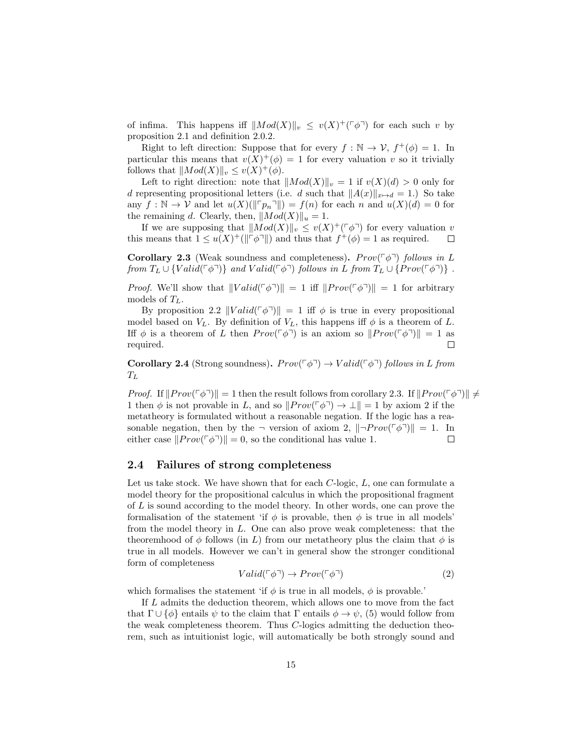of infima. This happens iff  $||Mod(X)||_v \le v(X)^+(\ulcorner\phi\urcorner)$  for each such v by proposition 2.1 and definition 2.0.2.

Right to left direction: Suppose that for every  $f : \mathbb{N} \to \mathcal{V}$ ,  $f^+(\phi) = 1$ . In particular this means that  $v(X)^{+}(\phi) = 1$  for every valuation v so it trivially follows that  $||Mod(X)||_v \le v(X)^+(\phi)$ .

Left to right direction: note that  $||Mod(X)||_v = 1$  if  $v(X)(d) > 0$  only for d representing propositional letters (i.e. d such that  $||A(x)||_{x\mapsto d} = 1$ .) So take any  $f: \mathbb{N} \to V$  and let  $u(X)(\|\Gamma_{p_n}\|) = f(n)$  for each n and  $u(X)(d) = 0$  for the remaining d. Clearly, then,  $||Mod(X)||_u = 1$ .

If we are supposing that  $\|Mod(X)\|_v \le v(X)^+(\ulcorner\phi\urcorner)$  for every valuation v this means that  $1 \le u(X)^+ (\|\Gamma \phi \gamma\|)$  and thus that  $f^+ (\phi) = 1$  as required.  $\Box$ 

**Corollary 2.3** (Weak soundness and completeness).  $Prov(\ulcorner \phi \urcorner)$  follows in L from  $T_L \cup \{Valid(\ulcorner \phi \urcorner) \}$  and  $Valid(\ulcorner \phi \urcorner)$  follows in L from  $T_L \cup \{Prov(\ulcorner \phi \urcorner) \}$ .

*Proof.* We'll show that  $||Valid(\ulcorner\phi\urcorner)|| = 1$  iff  $||Prov(\ulcorner\phi\urcorner)|| = 1$  for arbitrary models of  $T_L$ .

By proposition 2.2  $||Valid(\ulcorner \phi \urcorner)|| = 1$  iff  $\phi$  is true in every propositional model based on  $V_L$ . By definition of  $V_L$ , this happens iff  $\phi$  is a theorem of L. Iff  $\phi$  is a theorem of L then  $Prov(\ulcorner \phi \urcorner)$  is an axiom so  $\Vert Prov(\ulcorner \phi \urcorner) \Vert = 1$  as required.  $\Box$ 

**Corollary 2.4** (Strong soundness).  $Prov(\ulcorner \phi \urcorner) \rightarrow Valid(\ulcorner \phi \urcorner)$  follows in L from  $T_L$ 

*Proof.* If  $\|Prov(\ulcorner\phi\urcorner)\| = 1$  then the result follows from corollary 2.3. If  $\|Prov(\ulcorner\phi\urcorner)\| \neq 0$ 1 then  $\phi$  is not provable in L, and so  $||Prov(\ulcorner \phi \urcorner) \rightarrow \perp || = 1$  by axiom 2 if the metatheory is formulated without a reasonable negation. If the logic has a reasonable negation, then by the  $\neg$  version of axiom 2,  $||\neg Prov(\ulcorner\phi\urcorner)|| = 1$ . In either case  $||Prov(\ulcorner \phi \urcorner)|| = 0$ , so the conditional has value 1.  $\Box$ 

## 2.4 Failures of strong completeness

Let us take stock. We have shown that for each  $C$ -logic,  $L$ , one can formulate a model theory for the propositional calculus in which the propositional fragment of L is sound according to the model theory. In other words, one can prove the formalisation of the statement 'if  $\phi$  is provable, then  $\phi$  is true in all models' from the model theory in L. One can also prove weak completeness: that the theoremhood of  $\phi$  follows (in L) from our metatheory plus the claim that  $\phi$  is true in all models. However we can't in general show the stronger conditional form of completeness

$$
Valid(\ulcorner \phi \urcorner) \to Prov(\ulcorner \phi \urcorner) \tag{2}
$$

which formalises the statement 'if  $\phi$  is true in all models,  $\phi$  is provable.'

If L admits the deduction theorem, which allows one to move from the fact that  $\Gamma \cup {\phi}$  entails  $\psi$  to the claim that  $\Gamma$  entails  $\phi \to \psi$ , (5) would follow from the weak completeness theorem. Thus C-logics admitting the deduction theorem, such as intuitionist logic, will automatically be both strongly sound and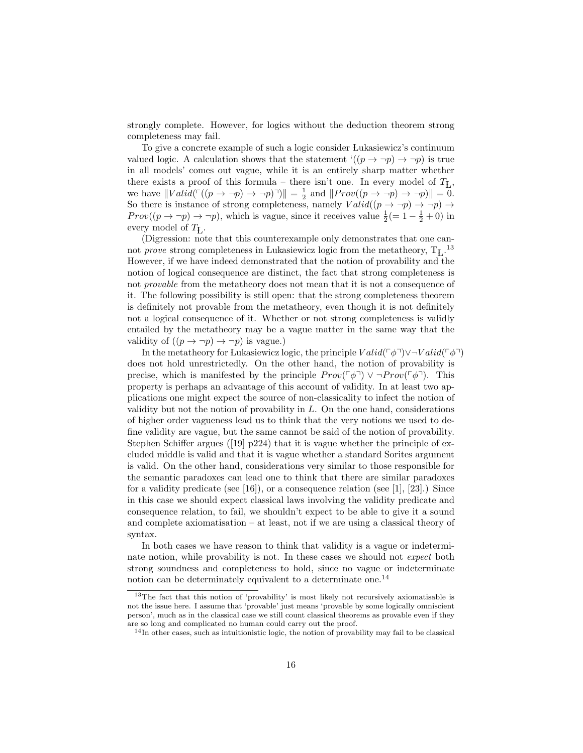strongly complete. However, for logics without the deduction theorem strong completeness may fail.

To give a concrete example of such a logic consider Lukasiewicz's continuum valued logic. A calculation shows that the statement  $((p \rightarrow \neg p) \rightarrow \neg p)$  is true in all models' comes out vague, while it is an entirely sharp matter whether there exists a proof of this formula – there isn't one. In every model of  $T_L$ , we have  $||Valid(\ulcorner((p \to \neg p) \to \neg p)\urcorner)|| = \frac{1}{2}$  and  $||Prov((p \to \neg p) \to \neg p)|| = 0$ . So there is instance of strong completeness, namely  $Valid((p \rightarrow \neg p) \rightarrow \neg p) \rightarrow$  $Prov((p \to \neg p) \to \neg p)$ , which is vague, since it receives value  $\frac{1}{2} (= 1 - \frac{1}{2} + 0)$  in every model of  $T_L$ .

(Digression: note that this counterexample only demonstrates that one cannot *prove* strong completeness in Lukasiewicz logic from the metatheory,  $T_{L}^{-13}$ However, if we have indeed demonstrated that the notion of provability and the notion of logical consequence are distinct, the fact that strong completeness is not *provable* from the metatheory does not mean that it is not a consequence of it. The following possibility is still open: that the strong completeness theorem is definitely not provable from the metatheory, even though it is not definitely not a logical consequence of it. Whether or not strong completeness is validly entailed by the metatheory may be a vague matter in the same way that the validity of  $((p \to \neg p) \to \neg p)$  is vague.)

In the metatheory for Lukasiewicz logic, the principle  $Valid(\ulcorner\phi\urcorner)\lor\lnot Valid(\ulcorner\phi\urcorner)$ does not hold unrestrictedly. On the other hand, the notion of provability is precise, which is manifested by the principle  $Prov(\ulcorner\phi\urcorner)\lor \lnot Prov(\ulcorner\phi\urcorner)$ . This property is perhaps an advantage of this account of validity. In at least two applications one might expect the source of non-classicality to infect the notion of validity but not the notion of provability in  $L$ . On the one hand, considerations of higher order vagueness lead us to think that the very notions we used to define validity are vague, but the same cannot be said of the notion of provability. Stephen Schiffer argues ([19] p224) that it is vague whether the principle of excluded middle is valid and that it is vague whether a standard Sorites argument is valid. On the other hand, considerations very similar to those responsible for the semantic paradoxes can lead one to think that there are similar paradoxes for a validity predicate (see [16]), or a consequence relation (see [1], [23].) Since in this case we should expect classical laws involving the validity predicate and consequence relation, to fail, we shouldn't expect to be able to give it a sound and complete axiomatisation – at least, not if we are using a classical theory of syntax.

In both cases we have reason to think that validity is a vague or indeterminate notion, while provability is not. In these cases we should not expect both strong soundness and completeness to hold, since no vague or indeterminate notion can be determinately equivalent to a determinate one.<sup>14</sup>

<sup>13</sup>The fact that this notion of 'provability' is most likely not recursively axiomatisable is not the issue here. I assume that 'provable' just means 'provable by some logically omniscient person', much as in the classical case we still count classical theorems as provable even if they are so long and complicated no human could carry out the proof.

<sup>&</sup>lt;sup>14</sup>In other cases, such as intuitionistic logic, the notion of provability may fail to be classical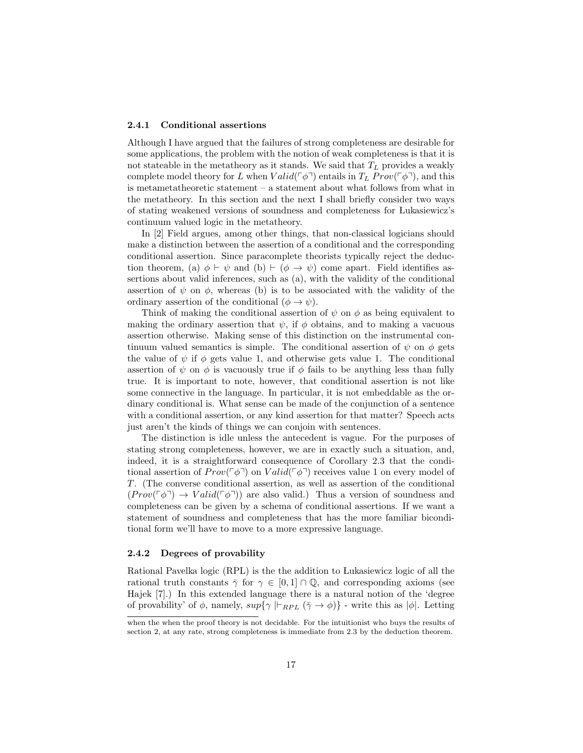#### 2.4.1 Conditional assertions

Although I have argued that the failures of strong completeness are desirable for some applications, the problem with the notion of weak completeness is that it is not stateable in the metatheory as it stands. We said that  $T<sub>L</sub>$  provides a weakly complete model theory for L when  $Valid(\ulcorner \phi \urcorner)$  entails in  $T_L$   $Prov(\ulcorner \phi \urcorner)$ , and this is metametatheoretic statement – a statement about what follows from what in the metatheory. In this section and the next I shall briefly consider two ways of stating weakened versions of soundness and completeness for Lukasiewicz's continuum valued logic in the metatheory.

In [2] Field argues, among other things, that non-classical logicians should make a distinction between the assertion of a conditional and the corresponding conditional assertion. Since paracomplete theorists typically reject the deduction theorem, (a)  $\phi \vdash \psi$  and (b)  $\vdash (\phi \rightarrow \psi)$  come apart. Field identifies assertions about valid inferences, such as (a), with the validity of the conditional assertion of  $\psi$  on  $\phi$ , whereas (b) is to be associated with the validity of the ordinary assertion of the conditional  $(\phi \to \psi)$ .

Think of making the conditional assertion of  $\psi$  on  $\phi$  as being equivalent to making the ordinary assertion that  $\psi$ , if  $\phi$  obtains, and to making a vacuous assertion otherwise. Making sense of this distinction on the instrumental continuum valued semantics is simple. The conditional assertion of  $\psi$  on  $\phi$  gets the value of  $\psi$  if  $\phi$  gets value 1, and otherwise gets value 1. The conditional assertion of  $\psi$  on  $\phi$  is vacuously true if  $\phi$  fails to be anything less than fully true. It is important to note, however, that conditional assertion is not like some connective in the language. In particular, it is not embeddable as the ordinary conditional is. What sense can be made of the conjunction of a sentence with a conditional assertion, or any kind assertion for that matter? Speech acts just aren't the kinds of things we can conjoin with sentences.

The distinction is idle unless the antecedent is vague. For the purposes of stating strong completeness, however, we are in exactly such a situation, and, indeed, it is a straightforward consequence of Corollary 2.3 that the conditional assertion of  $Prov(\ulcorner \phi \urcorner)$  on  $Valid(\ulcorner \phi \urcorner)$  receives value 1 on every model of T. (The converse conditional assertion, as well as assertion of the conditional  $(Prov(\ulcorner\phi\urcorner)\rightarrow Valid(\ulcorner\phi\urcorner))$  are also valid.) Thus a version of soundness and completeness can be given by a schema of conditional assertions. If we want a statement of soundness and completeness that has the more familiar biconditional form we'll have to move to a more expressive language.

#### 2.4.2 Degrees of provability

Rational Pavelka logic (RPL) is the the addition to Lukasiewicz logic of all the rational truth constants  $\bar{\gamma}$  for  $\gamma \in [0,1] \cap \mathbb{Q}$ , and corresponding axioms (see Hajek [7].) In this extended language there is a natural notion of the 'degree of provability' of  $\phi$ , namely,  $sup\{\gamma \mid E_{RPL} (\bar{\gamma} \to \phi)\}\$  - write this as  $|\phi|$ . Letting

when the when the proof theory is not decidable. For the intuitionist who buys the results of section 2, at any rate, strong completeness is immediate from 2.3 by the deduction theorem.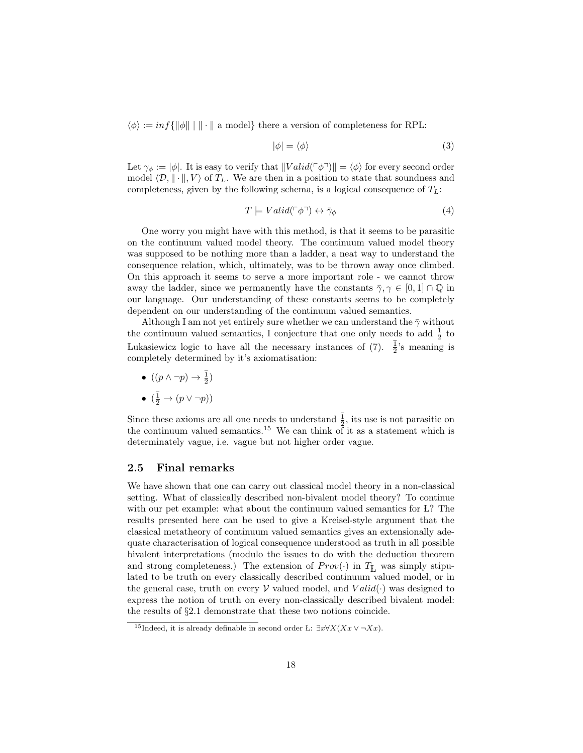$\langle \phi \rangle := \inf \{ ||\phi|| \mid || \cdot ||$  a model} there a version of completeness for RPL:

$$
|\phi| = \langle \phi \rangle \tag{3}
$$

Let  $\gamma_{\phi} := |\phi|$ . It is easy to verify that  $||Valid(\ulcorner \phi \urcorner)|| = \langle \phi \rangle$  for every second order model  $\langle \mathcal{D}, \|\cdot\|, V \rangle$  of  $T_L$ . We are then in a position to state that soundness and completeness, given by the following schema, is a logical consequence of  $T_L$ :

$$
T \models Valid(\ulcorner \phi \urcorner) \leftrightarrow \bar{\gamma}_{\phi} \tag{4}
$$

One worry you might have with this method, is that it seems to be parasitic on the continuum valued model theory. The continuum valued model theory was supposed to be nothing more than a ladder, a neat way to understand the consequence relation, which, ultimately, was to be thrown away once climbed. On this approach it seems to serve a more important role - we cannot throw away the ladder, since we permanently have the constants  $\bar{\gamma}, \gamma \in [0, 1] \cap \mathbb{Q}$  in our language. Our understanding of these constants seems to be completely dependent on our understanding of the continuum valued semantics.

Although I am not yet entirely sure whether we can understand the  $\bar{\gamma}$  without the continuum valued semantics, I conjecture that one only needs to add  $\frac{1}{2}$  to Lukasiewicz logic to have all the necessary instances of  $(7)$ .  $\frac{1}{2}$ 's meaning is completely determined by it's axiomatisation:

- $\bullet$   $((p \wedge \neg p) \rightarrow \frac{\overline{1}}{2})$
- $\bullet\ (\frac{\overline{1}}{2} \rightarrow (p \lor \neg p))$

Since these axioms are all one needs to understand  $\frac{1}{2}$ , its use is not parasitic on the continuum valued semantics.<sup>15</sup> We can think of it as a statement which is determinately vague, i.e. vague but not higher order vague.

### 2.5 Final remarks

We have shown that one can carry out classical model theory in a non-classical setting. What of classically described non-bivalent model theory? To continue with our pet example: what about the continuum valued semantics for L? The results presented here can be used to give a Kreisel-style argument that the classical metatheory of continuum valued semantics gives an extensionally adequate characterisation of logical consequence understood as truth in all possible bivalent interpretations (modulo the issues to do with the deduction theorem and strong completeness.) The extension of  $Prov(\cdot)$  in  $T_L$  was simply stipulated to be truth on every classically described continuum valued model, or in the general case, truth on every V valued model, and  $Valid(\cdot)$  was designed to express the notion of truth on every non-classically described bivalent model: the results of §2.1 demonstrate that these two notions coincide.

<sup>&</sup>lt;sup>15</sup>Indeed, it is already definable in second order L:  $\exists x \forall X (Xx \vee \neg Xx)$ .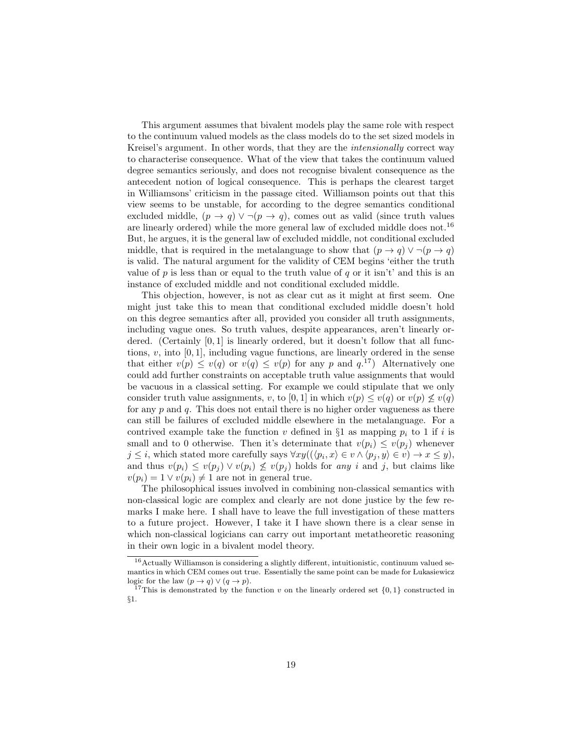This argument assumes that bivalent models play the same role with respect to the continuum valued models as the class models do to the set sized models in Kreisel's argument. In other words, that they are the intensionally correct way to characterise consequence. What of the view that takes the continuum valued degree semantics seriously, and does not recognise bivalent consequence as the antecedent notion of logical consequence. This is perhaps the clearest target in Williamsons' criticism in the passage cited. Williamson points out that this view seems to be unstable, for according to the degree semantics conditional excluded middle,  $(p \to q) \vee \neg (p \to q)$ , comes out as valid (since truth values are linearly ordered) while the more general law of excluded middle does not.<sup>16</sup> But, he argues, it is the general law of excluded middle, not conditional excluded middle, that is required in the metal anguage to show that  $(p \to q) \vee \neg (p \to q)$ is valid. The natural argument for the validity of CEM begins 'either the truth value of p is less than or equal to the truth value of q or it isn't' and this is an instance of excluded middle and not conditional excluded middle.

This objection, however, is not as clear cut as it might at first seem. One might just take this to mean that conditional excluded middle doesn't hold on this degree semantics after all, provided you consider all truth assignments, including vague ones. So truth values, despite appearances, aren't linearly ordered. (Certainly  $[0, 1]$  is linearly ordered, but it doesn't follow that all functions,  $v$ , into  $[0, 1]$ , including vague functions, are linearly ordered in the sense that either  $v(p) \le v(q)$  or  $v(q) \le v(p)$  for any p and  $q$ <sup>17</sup>). Alternatively one could add further constraints on acceptable truth value assignments that would be vacuous in a classical setting. For example we could stipulate that we only consider truth value assignments, v, to [0, 1] in which  $v(p) \leq v(q)$  or  $v(p) \nleq v(q)$ for any  $p$  and  $q$ . This does not entail there is no higher order vagueness as there can still be failures of excluded middle elsewhere in the metalanguage. For a contrived example take the function v defined in §1 as mapping  $p_i$  to 1 if i is small and to 0 otherwise. Then it's determinate that  $v(p_i) \leq v(p_i)$  whenever  $j \leq i$ , which stated more carefully says  $\forall xy((\langle p_i, x \rangle \in v \land \langle p_j, y \rangle \in v) \rightarrow x \leq y)$ , and thus  $v(p_i) \leq v(p_i) \vee v(p_i) \not\leq v(p_j)$  holds for any i and j, but claims like  $v(p_i) = 1 \vee v(p_i) \neq 1$  are not in general true.

The philosophical issues involved in combining non-classical semantics with non-classical logic are complex and clearly are not done justice by the few remarks I make here. I shall have to leave the full investigation of these matters to a future project. However, I take it I have shown there is a clear sense in which non-classical logicians can carry out important metatheoretic reasoning in their own logic in a bivalent model theory.

 $16$  Actually Williamson is considering a slightly different, intuitionistic, continuum valued semantics in which CEM comes out true. Essentially the same point can be made for Lukasiewicz logic for the law  $(p \to q) \vee (q \to p)$ .

<sup>&</sup>lt;sup>17</sup>This is demonstrated by the function v on the linearly ordered set  $\{0, 1\}$  constructed in §1.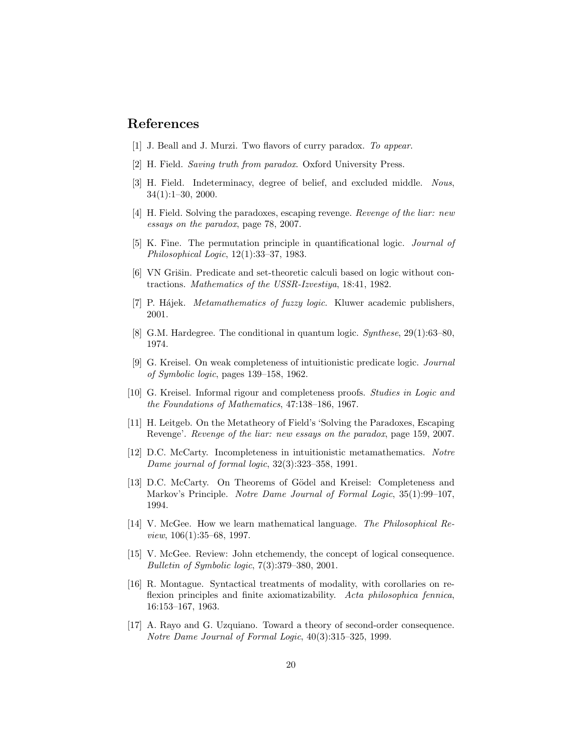# References

- [1] J. Beall and J. Murzi. Two flavors of curry paradox. To appear.
- [2] H. Field. Saving truth from paradox. Oxford University Press.
- [3] H. Field. Indeterminacy, degree of belief, and excluded middle. Nous, 34(1):1–30, 2000.
- [4] H. Field. Solving the paradoxes, escaping revenge. Revenge of the liar: new essays on the paradox, page 78, 2007.
- [5] K. Fine. The permutation principle in quantificational logic. Journal of Philosophical Logic, 12(1):33–37, 1983.
- [6] VN Grišin. Predicate and set-theoretic calculi based on logic without contractions. Mathematics of the USSR-Izvestiya, 18:41, 1982.
- [7] P. Hájek. *Metamathematics of fuzzy logic*. Kluwer academic publishers, 2001.
- [8] G.M. Hardegree. The conditional in quantum logic. Synthese, 29(1):63–80, 1974.
- [9] G. Kreisel. On weak completeness of intuitionistic predicate logic. Journal of Symbolic logic, pages 139–158, 1962.
- [10] G. Kreisel. Informal rigour and completeness proofs. Studies in Logic and the Foundations of Mathematics, 47:138–186, 1967.
- [11] H. Leitgeb. On the Metatheory of Field's 'Solving the Paradoxes, Escaping Revenge'. Revenge of the liar: new essays on the paradox, page 159, 2007.
- [12] D.C. McCarty. Incompleteness in intuitionistic metamathematics. Notre Dame journal of formal logic, 32(3):323–358, 1991.
- [13] D.C. McCarty. On Theorems of Gödel and Kreisel: Completeness and Markov's Principle. Notre Dame Journal of Formal Logic, 35(1):99–107, 1994.
- [14] V. McGee. How we learn mathematical language. The Philosophical Review, 106(1):35–68, 1997.
- [15] V. McGee. Review: John etchemendy, the concept of logical consequence. Bulletin of Symbolic logic, 7(3):379–380, 2001.
- [16] R. Montague. Syntactical treatments of modality, with corollaries on reflexion principles and finite axiomatizability. Acta philosophica fennica, 16:153–167, 1963.
- [17] A. Rayo and G. Uzquiano. Toward a theory of second-order consequence. Notre Dame Journal of Formal Logic, 40(3):315–325, 1999.